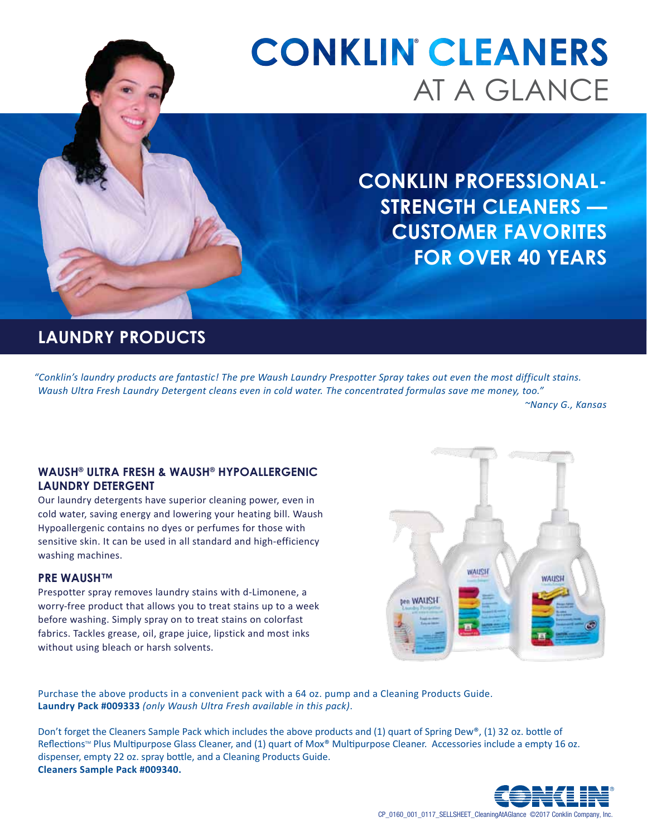# At A Glance **CONKLIN CLEANERS**

**Conklin professionalstrength cleaners — Customer favorites for over 40 years**

### **Laundry Products**

*"Conklin's laundry products are fantastic! The pre Waush Laundry Prespotter Spray takes out even the most difficult stains. Waush Ultra Fresh Laundry Detergent cleans even in cold water. The concentrated formulas save me money, too."*

*~Nancy G., Kansas*

#### **Waush® Ultra Fresh & Waush® Hypoallergenic Laundry Detergent**

Our laundry detergents have superior cleaning power, even in cold water, saving energy and lowering your heating bill. Waush Hypoallergenic contains no dyes or perfumes for those with sensitive skin. It can be used in all standard and high-efficiency washing machines.

#### **PRE WAUSH™**

Prespotter spray removes laundry stains with d-Limonene, a worry-free product that allows you to treat stains up to a week before washing. Simply spray on to treat stains on colorfast fabrics. Tackles grease, oil, grape juice, lipstick and most inks without using bleach or harsh solvents.



Purchase the above products in a convenient pack with a 64 oz. pump and a Cleaning Products Guide. **Laundry Pack #009333** *(only Waush Ultra Fresh available in this pack)*.

Don't forget the Cleaners Sample Pack which includes the above products and (1) quart of Spring Dew®, (1) 32 oz. bottle of Reflections™ Plus Multipurpose Glass Cleaner, and (1) quart of Mox® Multipurpose Cleaner. Accessories include a empty 16 oz. dispenser, empty 22 oz. spray bottle, and a Cleaning Products Guide. **Cleaners Sample Pack #009340.**